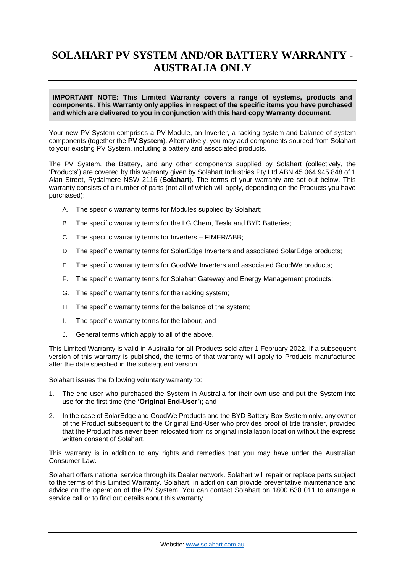# **SOLAHART PV SYSTEM AND/OR BATTERY WARRANTY - AUSTRALIA ONLY**

#### **IMPORTANT NOTE: This Limited Warranty covers a range of systems, products and components. This Warranty only applies in respect of the specific items you have purchased and which are delivered to you in conjunction with this hard copy Warranty document.**

Your new PV System comprises a PV Module, an Inverter, a racking system and balance of system components (together the **PV System**). Alternatively, you may add components sourced from Solahart to your existing PV System, including a battery and associated products.

The PV System, the Battery, and any other components supplied by Solahart (collectively, the 'Products') are covered by this warranty given by Solahart Industries Pty Ltd ABN 45 064 945 848 of 1 Alan Street, Rydalmere NSW 2116 (**Solahart**). The terms of your warranty are set out below. This warranty consists of a number of parts (not all of which will apply, depending on the Products you have purchased):

- A. The specific warranty terms for Modules supplied by Solahart;
- B. The specific warranty terms for the LG Chem, Tesla and BYD Batteries;
- C. The specific warranty terms for Inverters FIMER/ABB;
- D. The specific warranty terms for SolarEdge Inverters and associated SolarEdge products;
- E. The specific warranty terms for GoodWe Inverters and associated GoodWe products;
- F. The specific warranty terms for Solahart Gateway and Energy Management products;
- G. The specific warranty terms for the racking system;
- H. The specific warranty terms for the balance of the system;
- I. The specific warranty terms for the labour; and
- J. General terms which apply to all of the above.

This Limited Warranty is valid in Australia for all Products sold after 1 February 2022. If a subsequent version of this warranty is published, the terms of that warranty will apply to Products manufactured after the date specified in the subsequent version.

Solahart issues the following voluntary warranty to:

- 1. The end-user who purchased the System in Australia for their own use and put the System into use for the first time (the **'Original End-User'**); and
- 2. In the case of SolarEdge and GoodWe Products and the BYD Battery-Box System only, any owner of the Product subsequent to the Original End-User who provides proof of title transfer, provided that the Product has never been relocated from its original installation location without the express written consent of Solahart.

This warranty is in addition to any rights and remedies that you may have under the Australian Consumer Law.

Solahart offers national service through its Dealer network. Solahart will repair or replace parts subject to the terms of this Limited Warranty. Solahart, in addition can provide preventative maintenance and advice on the operation of the PV System. You can contact Solahart on 1800 638 011 to arrange a service call or to find out details about this warranty.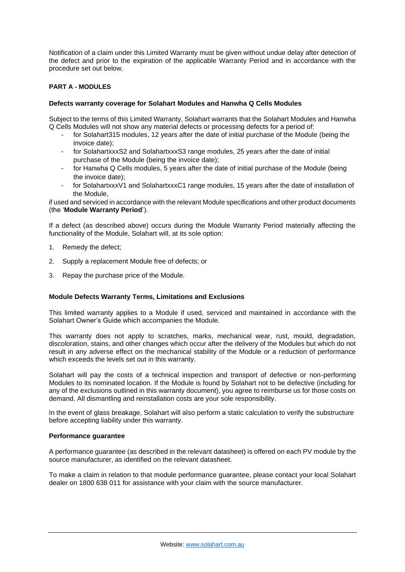Notification of a claim under this Limited Warranty must be given without undue delay after detection of the defect and prior to the expiration of the applicable Warranty Period and in accordance with the procedure set out below.

# **PART A - MODULES**

## **Defects warranty coverage for Solahart Modules and Hanwha Q Cells Modules**

Subject to the terms of this Limited Warranty, Solahart warrants that the Solahart Modules and Hanwha Q Cells Modules will not show any material defects or processing defects for a period of:

- for Solahart315 modules, 12 years after the date of initial purchase of the Module (being the invoice date);
- for SolahartxxxS2 and SolahartxxxS3 range modules, 25 years after the date of initial purchase of the Module (being the invoice date);
- for Hanwha Q Cells modules, 5 years after the date of initial purchase of the Module (being the invoice date);
- for SolahartxxxV1 and SolahartxxxC1 range modules, 15 years after the date of installation of the Module,

if used and serviced in accordance with the relevant Module specifications and other product documents (the '**Module Warranty Period**').

If a defect (as described above) occurs during the Module Warranty Period materially affecting the functionality of the Module, Solahart will, at its sole option:

- 1. Remedy the defect;
- 2. Supply a replacement Module free of defects; or
- 3. Repay the purchase price of the Module.

#### **Module Defects Warranty Terms, Limitations and Exclusions**

This limited warranty applies to a Module if used, serviced and maintained in accordance with the Solahart Owner's Guide which accompanies the Module.

This warranty does not apply to scratches, marks, mechanical wear, rust, mould, degradation, discoloration, stains, and other changes which occur after the delivery of the Modules but which do not result in any adverse effect on the mechanical stability of the Module or a reduction of performance which exceeds the levels set out in this warranty.

Solahart will pay the costs of a technical inspection and transport of defective or non-performing Modules to its nominated location. If the Module is found by Solahart not to be defective (including for any of the exclusions outlined in this warranty document), you agree to reimburse us for those costs on demand. All dismantling and reinstallation costs are your sole responsibility.

In the event of glass breakage, Solahart will also perform a static calculation to verify the substructure before accepting liability under this warranty.

#### **Performance guarantee**

A performance guarantee (as described in the relevant datasheet) is offered on each PV module by the source manufacturer, as identified on the relevant datasheet.

To make a claim in relation to that module performance guarantee, please contact your local Solahart dealer on 1800 638 011 for assistance with your claim with the source manufacturer.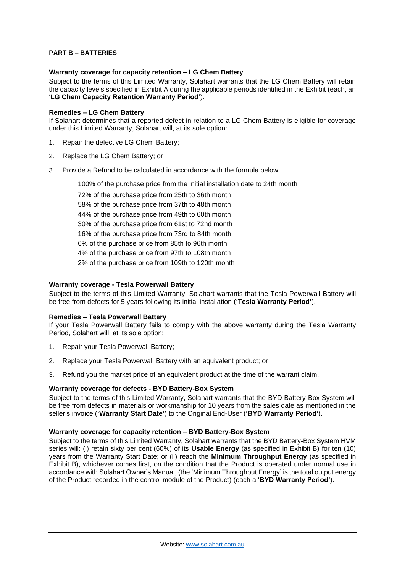# **PART B – BATTERIES**

#### **Warranty coverage for capacity retention – LG Chem Battery**

Subject to the terms of this Limited Warranty, Solahart warrants that the LG Chem Battery will retain the capacity levels specified in Exhibit A during the applicable periods identified in the Exhibit (each, an '**LG Chem Capacity Retention Warranty Period'**).

#### **Remedies – LG Chem Battery**

If Solahart determines that a reported defect in relation to a LG Chem Battery is eligible for coverage under this Limited Warranty, Solahart will, at its sole option:

- 1. Repair the defective LG Chem Battery;
- 2. Replace the LG Chem Battery; or
- 3. Provide a Refund to be calculated in accordance with the formula below.

100% of the purchase price from the initial installation date to 24th month

72% of the purchase price from 25th to 36th month 58% of the purchase price from 37th to 48th month 44% of the purchase price from 49th to 60th month 30% of the purchase price from 61st to 72nd month 16% of the purchase price from 73rd to 84th month 6% of the purchase price from 85th to 96th month 4% of the purchase price from 97th to 108th month 2% of the purchase price from 109th to 120th month

## **Warranty coverage - Tesla Powerwall Battery**

Subject to the terms of this Limited Warranty, Solahart warrants that the Tesla Powerwall Battery will be free from defects for 5 years following its initial installation (**'Tesla Warranty Period'**).

#### **Remedies – Tesla Powerwall Battery**

If your Tesla Powerwall Battery fails to comply with the above warranty during the Tesla Warranty Period, Solahart will, at its sole option:

- 1. Repair your Tesla Powerwall Battery;
- 2. Replace your Tesla Powerwall Battery with an equivalent product; or
- 3. Refund you the market price of an equivalent product at the time of the warrant claim.

#### **Warranty coverage for defects - BYD Battery-Box System**

Subject to the terms of this Limited Warranty, Solahart warrants that the BYD Battery-Box System will be free from defects in materials or workmanship for 10 years from the sales date as mentioned in the seller's invoice (**'Warranty Start Date'**) to the Original End-User (**'BYD Warranty Period'**).

#### **Warranty coverage for capacity retention – BYD Battery-Box System**

Subject to the terms of this Limited Warranty, Solahart warrants that the BYD Battery-Box System HVM series will: (i) retain sixty per cent (60%) of its **Usable Energy** (as specified in Exhibit B) for ten (10) years from the Warranty Start Date; or (ii) reach the **Minimum Throughput Energy** (as specified in Exhibit B), whichever comes first, on the condition that the Product is operated under normal use in accordance with Solahart Owner's Manual, (the 'Minimum Throughput Energy' is the total output energy of the Product recorded in the control module of the Product) (each a '**BYD Warranty Period'**).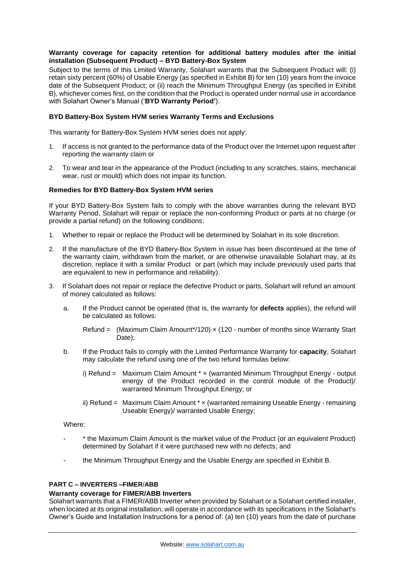# **Warranty coverage for capacity retention for additional battery modules after the initial installation (Subsequent Product) – BYD Battery-Box System**

Subject to the terms of this Limited Warranty, Solahart warrants that the Subsequent Product will: (i) retain sixty percent (60%) of Usable Energy (as specified in Exhibit B) for ten (10) years from the invoice date of the Subsequent Product; or (ii) reach the Minimum Throughput Energy (as specified in Exhibit B), whichever comes first, on the condition that the Product is operated under normal use in accordance with Solahart Owner's Manual ('**BYD Warranty Period'**).

# **BYD Battery-Box System HVM series Warranty Terms and Exclusions**

This warranty for Battery-Box System HVM series does not apply:

- 1. If access is not granted to the performance data of the Product over the Internet upon request after reporting the warranty claim or
- 2. To wear and tear in the appearance of the Product (including to any scratches, stains, mechanical wear, rust or mould) which does not impair its function.

# **Remedies for BYD Battery-Box System HVM series**

If your BYD Battery-Box System fails to comply with the above warranties during the relevant BYD Warranty Period, Solahart will repair or replace the non-conforming Product or parts at no charge (or provide a partial refund) on the following conditions:

- 1. Whether to repair or replace the Product will be determined by Solahart in its sole discretion.
- 2. If the manufacture of the BYD Battery-Box System in issue has been discontinued at the time of the warranty claim, withdrawn from the market, or are otherwise unavailable Solahart may, at its discretion, replace it with a similar Product or part (which may include previously used parts that are equivalent to new in performance and reliability).
- 3. If Solahart does not repair or replace the defective Product or parts, Solahart will refund an amount of money calculated as follows:
	- a. If the Product cannot be operated (that is, the warranty for **defects** applies), the refund will be calculated as follows:

Refund  $=$  (Maximum Claim Amount\*/120)  $\times$  (120 - number of months since Warranty Start Date);

- b. If the Product fails to comply with the Limited Performance Warranty for **capacity**, Solahart may calculate the refund using one of the two refund formulas below:
	- i) Refund = Maximum Claim Amount \* × (warranted Minimum Throughput Energy output energy of the Product recorded in the control module of the Product)/ warranted Minimum Throughput Energy; or
	- ii) Refund = Maximum Claim Amount \* × (warranted remaining Useable Energy remaining Useable Energy)/ warranted Usable Energy;

## Where:

- \* the Maximum Claim Amount is the market value of the Product (or an equivalent Product) determined by Solahart if it were purchased new with no defects; and
- the Minimum Throughput Energy and the Usable Energy are specified in Exhibit B.

# **PART C – INVERTERS –FIMER**/**ABB**

#### **Warranty coverage for FIMER/ABB Inverters**

Solahart warrants that a FIMER/ABB Inverter when provided by Solahart or a Solahart certified installer, when located at its original installation, will operate in accordance with its specifications in the Solahart's Owner's Guide and Installation Instructions for a period of: (a) ten (10) years from the date of purchase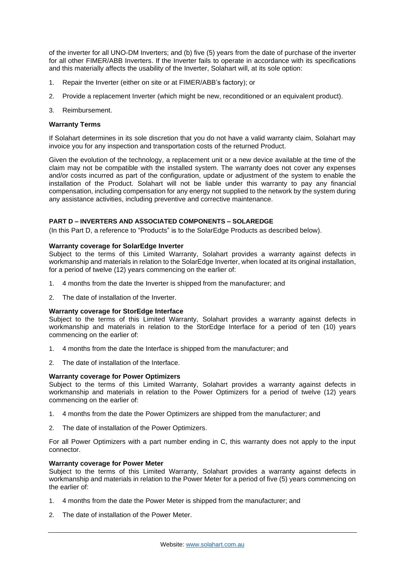of the inverter for all UNO-DM Inverters; and (b) five (5) years from the date of purchase of the inverter for all other FIMER/ABB Inverters. If the Inverter fails to operate in accordance with its specifications and this materially affects the usability of the Inverter, Solahart will, at its sole option:

- 1. Repair the Inverter (either on site or at FIMER/ABB's factory); or
- 2. Provide a replacement Inverter (which might be new, reconditioned or an equivalent product).
- 3. Reimbursement.

## **Warranty Terms**

If Solahart determines in its sole discretion that you do not have a valid warranty claim, Solahart may invoice you for any inspection and transportation costs of the returned Product.

Given the evolution of the technology, a replacement unit or a new device available at the time of the claim may not be compatible with the installed system. The warranty does not cover any expenses and/or costs incurred as part of the configuration, update or adjustment of the system to enable the installation of the Product. Solahart will not be liable under this warranty to pay any financial compensation, including compensation for any energy not supplied to the network by the system during any assistance activities, including preventive and corrective maintenance.

# **PART D – INVERTERS AND ASSOCIATED COMPONENTS – SOLAREDGE**

(In this Part D, a reference to "Products" is to the SolarEdge Products as described below).

#### **Warranty coverage for SolarEdge Inverter**

Subject to the terms of this Limited Warranty, Solahart provides a warranty against defects in workmanship and materials in relation to the SolarEdge Inverter, when located at its original installation, for a period of twelve (12) years commencing on the earlier of:

- 1. 4 months from the date the Inverter is shipped from the manufacturer; and
- 2. The date of installation of the Inverter.

#### **Warranty coverage for StorEdge Interface**

Subject to the terms of this Limited Warranty, Solahart provides a warranty against defects in workmanship and materials in relation to the StorEdge Interface for a period of ten (10) years commencing on the earlier of:

- 1. 4 months from the date the Interface is shipped from the manufacturer; and
- 2. The date of installation of the Interface.

#### **Warranty coverage for Power Optimizers**

Subject to the terms of this Limited Warranty, Solahart provides a warranty against defects in workmanship and materials in relation to the Power Optimizers for a period of twelve (12) years commencing on the earlier of:

- 1. 4 months from the date the Power Optimizers are shipped from the manufacturer; and
- 2. The date of installation of the Power Optimizers.

For all Power Optimizers with a part number ending in C, this warranty does not apply to the input connector.

### **Warranty coverage for Power Meter**

Subject to the terms of this Limited Warranty, Solahart provides a warranty against defects in workmanship and materials in relation to the Power Meter for a period of five (5) years commencing on the earlier of:

- 1. 4 months from the date the Power Meter is shipped from the manufacturer; and
- 2. The date of installation of the Power Meter.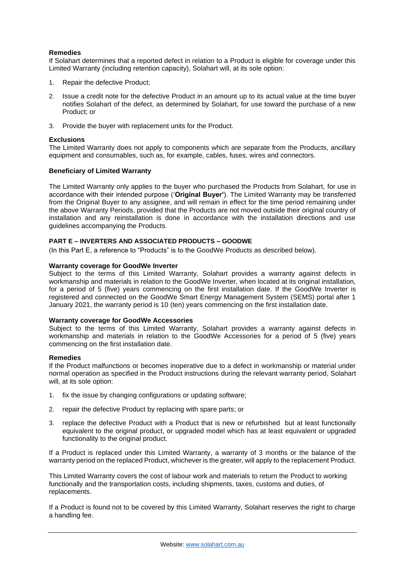# **Remedies**

If Solahart determines that a reported defect in relation to a Product is eligible for coverage under this Limited Warranty (including retention capacity), Solahart will, at its sole option:

- 1. Repair the defective Product;
- 2. Issue a credit note for the defective Product in an amount up to its actual value at the time buyer notifies Solahart of the defect, as determined by Solahart, for use toward the purchase of a new Product; or
- 3. Provide the buyer with replacement units for the Product.

## **Exclusions**

The Limited Warranty does not apply to components which are separate from the Products, ancillary equipment and consumables, such as, for example, cables, fuses, wires and connectors.

#### **Beneficiary of Limited Warranty**

The Limited Warranty only applies to the buyer who purchased the Products from Solahart, for use in accordance with their intended purpose ('**Original Buyer'**). The Limited Warranty may be transferred from the Original Buyer to any assignee, and will remain in effect for the time period remaining under the above Warranty Periods, provided that the Products are not moved outside their original country of installation and any reinstallation is done in accordance with the installation directions and use guidelines accompanying the Products.

# **PART E – INVERTERS AND ASSOCIATED PRODUCTS – GOODWE**

(In this Part E, a reference to "Products" is to the GoodWe Products as described below).

#### **Warranty coverage for GoodWe Inverter**

Subject to the terms of this Limited Warranty, Solahart provides a warranty against defects in workmanship and materials in relation to the GoodWe Inverter, when located at its original installation, for a period of 5 (five) years commencing on the first installation date. If the GoodWe Inverter is registered and connected on the GoodWe Smart Energy Management System (SEMS) portal after 1 January 2021, the warranty period is 10 (ten) years commencing on the first installation date.

#### **Warranty coverage for GoodWe Accessories**

Subject to the terms of this Limited Warranty, Solahart provides a warranty against defects in workmanship and materials in relation to the GoodWe Accessories for a period of 5 (five) years commencing on the first installation date.

#### **Remedies**

If the Product malfunctions or becomes inoperative due to a defect in workmanship or material under normal operation as specified in the Product instructions during the relevant warranty period, Solahart will, at its sole option:

- 1. fix the issue by changing configurations or updating software;
- 2. repair the defective Product by replacing with spare parts; or
- 3. replace the defective Product with a Product that is new or refurbished but at least functionally equivalent to the original product, or upgraded model which has at least equivalent or upgraded functionality to the original product.

If a Product is replaced under this Limited Warranty, a warranty of 3 months or the balance of the warranty period on the replaced Product, whichever is the greater, will apply to the replacement Product.

This Limited Warranty covers the cost of labour work and materials to return the Product to working functionally and the transportation costs, including shipments, taxes, customs and duties, of replacements.

If a Product is found not to be covered by this Limited Warranty, Solahart reserves the right to charge a handling fee.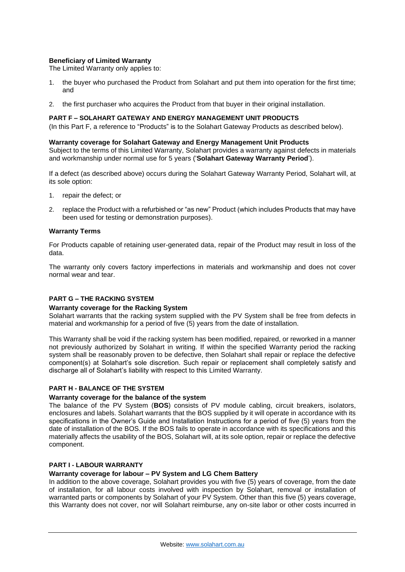## **Beneficiary of Limited Warranty**

The Limited Warranty only applies to:

- 1. the buyer who purchased the Product from Solahart and put them into operation for the first time; and
- 2. the first purchaser who acquires the Product from that buyer in their original installation.

## **PART F – SOLAHART GATEWAY AND ENERGY MANAGEMENT UNIT PRODUCTS**

(In this Part F, a reference to "Products" is to the Solahart Gateway Products as described below).

#### **Warranty coverage for Solahart Gateway and Energy Management Unit Products**

Subject to the terms of this Limited Warranty, Solahart provides a warranty against defects in materials and workmanship under normal use for 5 years ('**Solahart Gateway Warranty Period**').

If a defect (as described above) occurs during the Solahart Gateway Warranty Period, Solahart will, at its sole option:

- 1. repair the defect; or
- 2. replace the Product with a refurbished or "as new" Product (which includes Products that may have been used for testing or demonstration purposes).

# **Warranty Terms**

For Products capable of retaining user-generated data, repair of the Product may result in loss of the data.

The warranty only covers factory imperfections in materials and workmanship and does not cover normal wear and tear.

# **PART G – THE RACKING SYSTEM**

#### **Warranty coverage for the Racking System**

Solahart warrants that the racking system supplied with the PV System shall be free from defects in material and workmanship for a period of five (5) years from the date of installation.

This Warranty shall be void if the racking system has been modified, repaired, or reworked in a manner not previously authorized by Solahart in writing. If within the specified Warranty period the racking system shall be reasonably proven to be defective, then Solahart shall repair or replace the defective component(s) at Solahart's sole discretion. Such repair or replacement shall completely satisfy and discharge all of Solahart's liability with respect to this Limited Warranty.

# **PART H - BALANCE OF THE SYSTEM**

#### **Warranty coverage for the balance of the system**

The balance of the PV System (**BOS**) consists of PV module cabling, circuit breakers, isolators, enclosures and labels. Solahart warrants that the BOS supplied by it will operate in accordance with its specifications in the Owner's Guide and Installation Instructions for a period of five (5) years from the date of installation of the BOS. If the BOS fails to operate in accordance with its specifications and this materially affects the usability of the BOS, Solahart will, at its sole option, repair or replace the defective component.

# **PART I - LABOUR WARRANTY**

# **Warranty coverage for labour – PV System and LG Chem Battery**

In addition to the above coverage, Solahart provides you with five (5) years of coverage, from the date of installation, for all labour costs involved with inspection by Solahart, removal or installation of warranted parts or components by Solahart of your PV System. Other than this five (5) years coverage, this Warranty does not cover, nor will Solahart reimburse, any on-site labor or other costs incurred in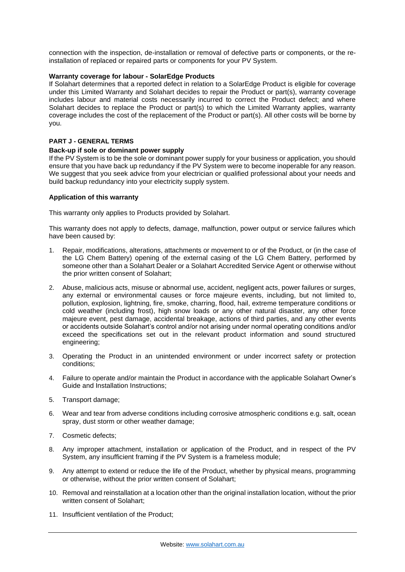connection with the inspection, de-installation or removal of defective parts or components, or the reinstallation of replaced or repaired parts or components for your PV System.

## **Warranty coverage for labour - SolarEdge Products**

If Solahart determines that a reported defect in relation to a SolarEdge Product is eligible for coverage under this Limited Warranty and Solahart decides to repair the Product or part(s), warranty coverage includes labour and material costs necessarily incurred to correct the Product defect; and where Solahart decides to replace the Product or part(s) to which the Limited Warranty applies, warranty coverage includes the cost of the replacement of the Product or part(s). All other costs will be borne by you.

#### **PART J - GENERAL TERMS**

#### **Back-up if sole or dominant power supply**

If the PV System is to be the sole or dominant power supply for your business or application, you should ensure that you have back up redundancy if the PV System were to become inoperable for any reason. We suggest that you seek advice from your electrician or qualified professional about your needs and build backup redundancy into your electricity supply system.

#### **Application of this warranty**

This warranty only applies to Products provided by Solahart.

This warranty does not apply to defects, damage, malfunction, power output or service failures which have been caused by:

- 1. Repair, modifications, alterations, attachments or movement to or of the Product, or (in the case of the LG Chem Battery) opening of the external casing of the LG Chem Battery, performed by someone other than a Solahart Dealer or a Solahart Accredited Service Agent or otherwise without the prior written consent of Solahart;
- 2. Abuse, malicious acts, misuse or abnormal use, accident, negligent acts, power failures or surges, any external or environmental causes or force majeure events, including, but not limited to, pollution, explosion, lightning, fire, smoke, charring, flood, hail, extreme temperature conditions or cold weather (including frost), high snow loads or any other natural disaster, any other force majeure event, pest damage, accidental breakage, actions of third parties, and any other events or accidents outside Solahart's control and/or not arising under normal operating conditions and/or exceed the specifications set out in the relevant product information and sound structured engineering;
- 3. Operating the Product in an unintended environment or under incorrect safety or protection conditions;
- 4. Failure to operate and/or maintain the Product in accordance with the applicable Solahart Owner's Guide and Installation Instructions;
- 5. Transport damage;
- 6. Wear and tear from adverse conditions including corrosive atmospheric conditions e.g. salt, ocean spray, dust storm or other weather damage;
- 7. Cosmetic defects;
- 8. Any improper attachment, installation or application of the Product, and in respect of the PV System, any insufficient framing if the PV System is a frameless module;
- 9. Any attempt to extend or reduce the life of the Product, whether by physical means, programming or otherwise, without the prior written consent of Solahart;
- 10. Removal and reinstallation at a location other than the original installation location, without the prior written consent of Solahart;
- 11. Insufficient ventilation of the Product;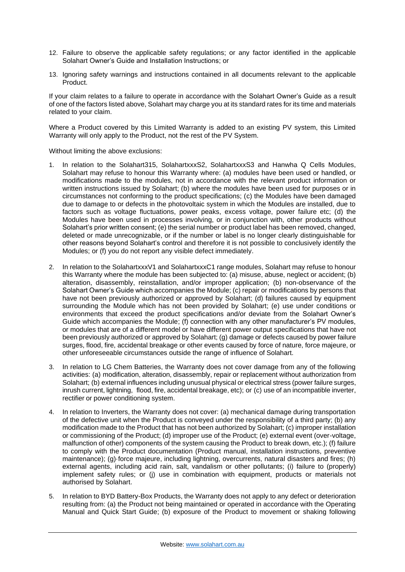- 12. Failure to observe the applicable safety regulations; or any factor identified in the applicable Solahart Owner's Guide and Installation Instructions; or
- 13. Ignoring safety warnings and instructions contained in all documents relevant to the applicable Product.

If your claim relates to a failure to operate in accordance with the Solahart Owner's Guide as a result of one of the factors listed above, Solahart may charge you at its standard rates for its time and materials related to your claim.

Where a Product covered by this Limited Warranty is added to an existing PV system, this Limited Warranty will only apply to the Product, not the rest of the PV System.

Without limiting the above exclusions:

- 1. In relation to the Solahart315, SolahartxxxS2, SolahartxxxS3 and Hanwha Q Cells Modules, Solahart may refuse to honour this Warranty where: (a) modules have been used or handled, or modifications made to the modules, not in accordance with the relevant product information or written instructions issued by Solahart; (b) where the modules have been used for purposes or in circumstances not conforming to the product specifications; (c) the Modules have been damaged due to damage to or defects in the photovoltaic system in which the Modules are installed, due to factors such as voltage fluctuations, power peaks, excess voltage, power failure etc; (d) the Modules have been used in processes involving, or in conjunction with, other products without Solahart's prior written consent; (e) the serial number or product label has been removed, changed, deleted or made unrecognizable, or if the number or label is no longer clearly distinguishable for other reasons beyond Solahart's control and therefore it is not possible to conclusively identify the Modules; or (f) you do not report any visible defect immediately.
- 2. In relation to the SolahartxxxV1 and SolahartxxxC1 range modules, Solahart may refuse to honour this Warranty where the module has been subjected to: (a) misuse, abuse, neglect or accident; (b) alteration, disassembly, reinstallation, and/or improper application; (b) non-observance of the Solahart Owner's Guide which accompanies the Module; (c) repair or modifications by persons that have not been previously authorized or approved by Solahart; (d) failures caused by equipment surrounding the Module which has not been provided by Solahart; (e) use under conditions or environments that exceed the product specifications and/or deviate from the Solahart Owner's Guide which accompanies the Module; (f) connection with any other manufacturer's PV modules, or modules that are of a different model or have different power output specifications that have not been previously authorized or approved by Solahart; (g) damage or defects caused by power failure surges, flood, fire, accidental breakage or other events caused by force of nature, force majeure, or other unforeseeable circumstances outside the range of influence of Solahart.
- 3. In relation to LG Chem Batteries, the Warranty does not cover damage from any of the following activities: (a) modification, alteration, disassembly, repair or replacement without authorization from Solahart; (b) external influences including unusual physical or electrical stress (power failure surges, inrush current, lightning, flood, fire, accidental breakage, etc); or (c) use of an incompatible inverter, rectifier or power conditioning system.
- 4. In relation to Inverters, the Warranty does not cover: (a) mechanical damage during transportation of the defective unit when the Product is conveyed under the responsibility of a third party; (b) any modification made to the Product that has not been authorized by Solahart; (c) improper installation or commissioning of the Product; (d) improper use of the Product; (e) external event (over-voltage, malfunction of other) components of the system causing the Product to break down, etc.); (f) failure to comply with the Product documentation (Product manual, installation instructions, preventive maintenance); (g)·force majeure, including lightning, overcurrents, natural disasters and fires; (h) external agents, including acid rain, salt, vandalism or other pollutants; (i) failure to (properly) implement safety rules; or (j) use in combination with equipment, products or materials not authorised by Solahart.
- 5. In relation to BYD Battery-Box Products, the Warranty does not apply to any defect or deterioration resulting from: (a) the Product not being maintained or operated in accordance with the Operating Manual and Quick Start Guide; (b) exposure of the Product to movement or shaking following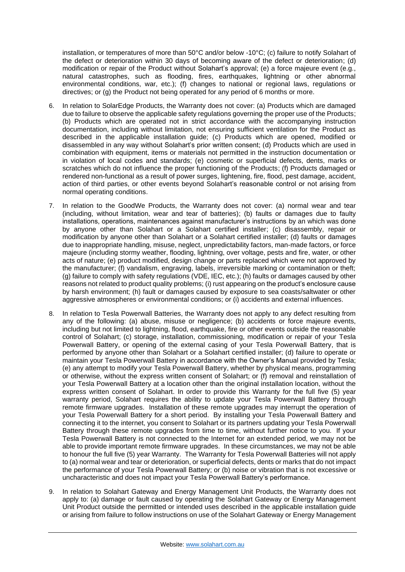installation, or temperatures of more than 50°C and/or below -10°C; (c) failure to notify Solahart of the defect or deterioration within 30 days of becoming aware of the defect or deterioration; (d) modification or repair of the Product without Solahart's approval; (e) a force majeure event (e.g., natural catastrophes, such as flooding, fires, earthquakes, lightning or other abnormal environmental conditions, war, etc.); (f) changes to national or regional laws, regulations or directives; or (g) the Product not being operated for any period of 6 months or more.

- 6. In relation to SolarEdge Products, the Warranty does not cover: (a) Products which are damaged due to failure to observe the applicable safety regulations governing the proper use of the Products; (b) Products which are operated not in strict accordance with the accompanying instruction documentation, including without limitation, not ensuring sufficient ventilation for the Product as described in the applicable installation guide; (c) Products which are opened, modified or disassembled in any way without Solahart's prior written consent; (d) Products which are used in combination with equipment, items or materials not permitted in the instruction documentation or in violation of local codes and standards; (e) cosmetic or superficial defects, dents, marks or scratches which do not influence the proper functioning of the Products; (f) Products damaged or rendered non-functional as a result of power surges, lightening, fire, flood, pest damage, accident, action of third parties, or other events beyond Solahart's reasonable control or not arising from normal operating conditions.
- 7. In relation to the GoodWe Products, the Warranty does not cover: (a) normal wear and tear (including, without limitation, wear and tear of batteries); (b) faults or damages due to faulty installations, operations, maintenances against manufacturer's instructions by an which was done by anyone other than Solahart or a Solahart certified installer; (c) disassembly, repair or modification by anyone other than Solahart or a Solahart certified installer; (d) faults or damages due to inappropriate handling, misuse, neglect, unpredictability factors, man-made factors, or force majeure (including stormy weather, flooding, lightning, over voltage, pests and fire, water, or other acts of nature; (e) product modified, design change or parts replaced which were not approved by the manufacturer; (f) vandalism, engraving, labels, irreversible marking or contamination or theft; (g) failure to comply with safety regulations (VDE, IEC, etc.); (h) faults or damages caused by other reasons not related to product quality problems; (i) rust appearing on the product's enclosure cause by harsh environment; (h) fault or damages caused by exposure to sea coasts/saltwater or other aggressive atmospheres or environmental conditions; or (i) accidents and external influences.
- 8. In relation to Tesla Powerwall Batteries, the Warranty does not apply to any defect resulting from any of the following: (a) abuse, misuse or negligence; (b) accidents or force majeure events, including but not limited to lightning, flood, earthquake, fire or other events outside the reasonable control of Solahart; (c) storage, installation, commissioning, modification or repair of your Tesla Powerwall Battery, or opening of the external casing of your Tesla Powerwall Battery, that is performed by anyone other than Solahart or a Solahart certified installer; (d) failure to operate or maintain your Tesla Powerwall Battery in accordance with the Owner's Manual provided by Tesla; (e) any attempt to modify your Tesla Powerwall Battery, whether by physical means, programming or otherwise, without the express written consent of Solahart; or (f) removal and reinstallation of your Tesla Powerwall Battery at a location other than the original installation location, without the express written consent of Solahart. In order to provide this Warranty for the full five (5) year warranty period, Solahart requires the ability to update your Tesla Powerwall Battery through remote firmware upgrades. Installation of these remote upgrades may interrupt the operation of your Tesla Powerwall Battery for a short period. By installing your Tesla Powerwall Battery and connecting it to the internet, you consent to Solahart or its partners updating your Tesla Powerwall Battery through these remote upgrades from time to time, without further notice to you. If your Tesla Powerwall Battery is not connected to the Internet for an extended period, we may not be able to provide important remote firmware upgrades. In these circumstances, we may not be able to honour the full five (5) year Warranty. The Warranty for Tesla Powerwall Batteries will not apply to (a) normal wear and tear or deterioration, or superficial defects, dents or marks that do not impact the performance of your Tesla Powerwall Battery; or (b) noise or vibration that is not excessive or uncharacteristic and does not impact your Tesla Powerwall Battery's performance.
- 9. In relation to Solahart Gateway and Energy Management Unit Products, the Warranty does not apply to: (a) damage or fault caused by operating the Solahart Gateway or Energy Management Unit Product outside the permitted or intended uses described in the applicable installation guide or arising from failure to follow instructions on use of the Solahart Gateway or Energy Management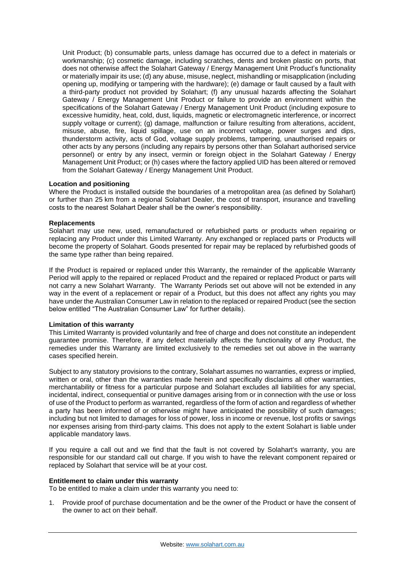Unit Product; (b) consumable parts, unless damage has occurred due to a defect in materials or workmanship; (c) cosmetic damage, including scratches, dents and broken plastic on ports, that does not otherwise affect the Solahart Gateway / Energy Management Unit Product's functionality or materially impair its use; (d) any abuse, misuse, neglect, mishandling or misapplication (including opening up, modifying or tampering with the hardware); (e) damage or fault caused by a fault with a third-party product not provided by Solahart; (f) any unusual hazards affecting the Solahart Gateway / Energy Management Unit Product or failure to provide an environment within the specifications of the Solahart Gateway / Energy Management Unit Product (including exposure to excessive humidity, heat, cold, dust, liquids, magnetic or electromagnetic interference, or incorrect supply voltage or current); (g) damage, malfunction or failure resulting from alterations, accident, misuse, abuse, fire, liquid spillage, use on an incorrect voltage, power surges and dips, thunderstorm activity, acts of God, voltage supply problems, tampering, unauthorised repairs or other acts by any persons (including any repairs by persons other than Solahart authorised service personnel) or entry by any insect, vermin or foreign object in the Solahart Gateway / Energy Management Unit Product; or (h) cases where the factory applied UID has been altered or removed from the Solahart Gateway / Energy Management Unit Product.

# **Location and positioning**

Where the Product is installed outside the boundaries of a metropolitan area (as defined by Solahart) or further than 25 km from a regional Solahart Dealer, the cost of transport, insurance and travelling costs to the nearest Solahart Dealer shall be the owner's responsibility.

#### **Replacements**

Solahart may use new, used, remanufactured or refurbished parts or products when repairing or replacing any Product under this Limited Warranty. Any exchanged or replaced parts or Products will become the property of Solahart. Goods presented for repair may be replaced by refurbished goods of the same type rather than being repaired.

If the Product is repaired or replaced under this Warranty, the remainder of the applicable Warranty Period will apply to the repaired or replaced Product and the repaired or replaced Product or parts will not carry a new Solahart Warranty. The Warranty Periods set out above will not be extended in any way in the event of a replacement or repair of a Product, but this does not affect any rights you may have under the Australian Consumer Law in relation to the replaced or repaired Product (see the section below entitled "The Australian Consumer Law" for further details).

# **Limitation of this warranty**

This Limited Warranty is provided voluntarily and free of charge and does not constitute an independent guarantee promise. Therefore, if any defect materially affects the functionality of any Product, the remedies under this Warranty are limited exclusively to the remedies set out above in the warranty cases specified herein.

Subject to any statutory provisions to the contrary, Solahart assumes no warranties, express or implied, written or oral, other than the warranties made herein and specifically disclaims all other warranties, merchantability or fitness for a particular purpose and Solahart excludes all liabilities for any special, incidental, indirect, consequential or punitive damages arising from or in connection with the use or loss of use of the Product to perform as warranted, regardless of the form of action and regardless of whether a party has been informed of or otherwise might have anticipated the possibility of such damages; including but not limited to damages for loss of power, loss in income or revenue, lost profits or savings nor expenses arising from third-party claims. This does not apply to the extent Solahart is liable under applicable mandatory laws.

If you require a call out and we find that the fault is not covered by Solahart's warranty, you are responsible for our standard call out charge. If you wish to have the relevant component repaired or replaced by Solahart that service will be at your cost.

#### **Entitlement to claim under this warranty**

To be entitled to make a claim under this warranty you need to:

1. Provide proof of purchase documentation and be the owner of the Product or have the consent of the owner to act on their behalf.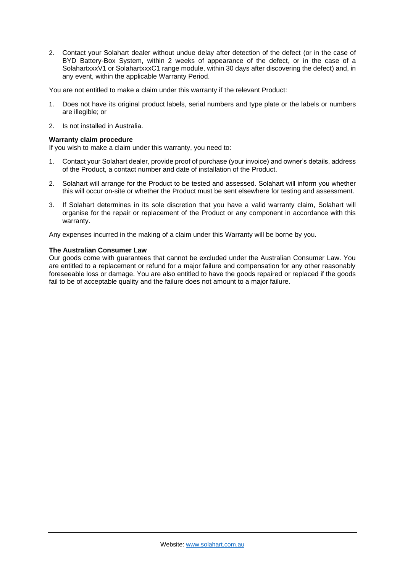2. Contact your Solahart dealer without undue delay after detection of the defect (or in the case of BYD Battery-Box System, within 2 weeks of appearance of the defect, or in the case of a SolahartxxxV1 or SolahartxxxC1 range module, within 30 days after discovering the defect) and, in any event, within the applicable Warranty Period.

You are not entitled to make a claim under this warranty if the relevant Product:

- 1. Does not have its original product labels, serial numbers and type plate or the labels or numbers are illegible; or
- 2. Is not installed in Australia.

# **Warranty claim procedure**

If you wish to make a claim under this warranty, you need to:

- 1. Contact your Solahart dealer, provide proof of purchase (your invoice) and owner's details, address of the Product, a contact number and date of installation of the Product.
- 2. Solahart will arrange for the Product to be tested and assessed. Solahart will inform you whether this will occur on-site or whether the Product must be sent elsewhere for testing and assessment.
- 3. If Solahart determines in its sole discretion that you have a valid warranty claim, Solahart will organise for the repair or replacement of the Product or any component in accordance with this warranty.

Any expenses incurred in the making of a claim under this Warranty will be borne by you.

# **The Australian Consumer Law**

Our goods come with guarantees that cannot be excluded under the Australian Consumer Law. You are entitled to a replacement or refund for a major failure and compensation for any other reasonably foreseeable loss or damage. You are also entitled to have the goods repaired or replaced if the goods fail to be of acceptable quality and the failure does not amount to a major failure.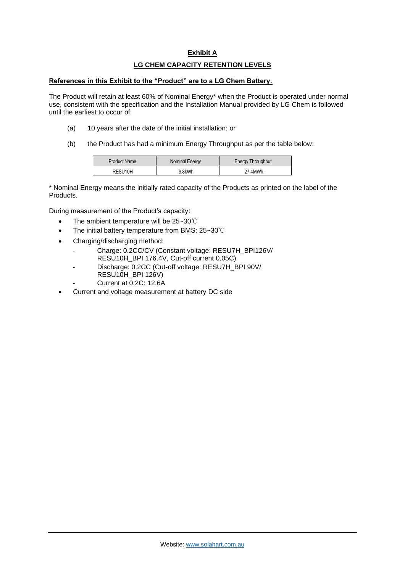# **Exhibit A**

# **LG CHEM CAPACITY RETENTION LEVELS**

### **References in this Exhibit to the "Product" are to a LG Chem Battery.**

The Product will retain at least 60% of Nominal Energy\* when the Product is operated under normal use, consistent with the specification and the Installation Manual provided by LG Chem is followed until the earliest to occur of:

- (a) 10 years after the date of the initial installation; or
- (b) the Product has had a minimum Energy Throughput as per the table below:

| <b>Product Name</b>  | Nominal Energy | <b>Energy Throughput</b> |
|----------------------|----------------|--------------------------|
| RESU <sub>10</sub> H | 9.8kWh         | 27 4MWh                  |

\* Nominal Energy means the initially rated capacity of the Products as printed on the label of the Products.

During measurement of the Product's capacity:

- The ambient temperature will be 25~30℃
- The initial battery temperature from BMS: 25~30℃
- Charging/discharging method:
	- Charge: 0.2CC/CV (Constant voltage: RESU7H\_BPI126V/ RESU10H\_BPI 176.4V, Cut-off current 0.05C)
	- Discharge: 0.2CC (Cut-off voltage: RESU7H\_BPI 90V/ RESU10H\_BPI 126V)
	- Current at 0.2C: 12.6A
- Current and voltage measurement at battery DC side